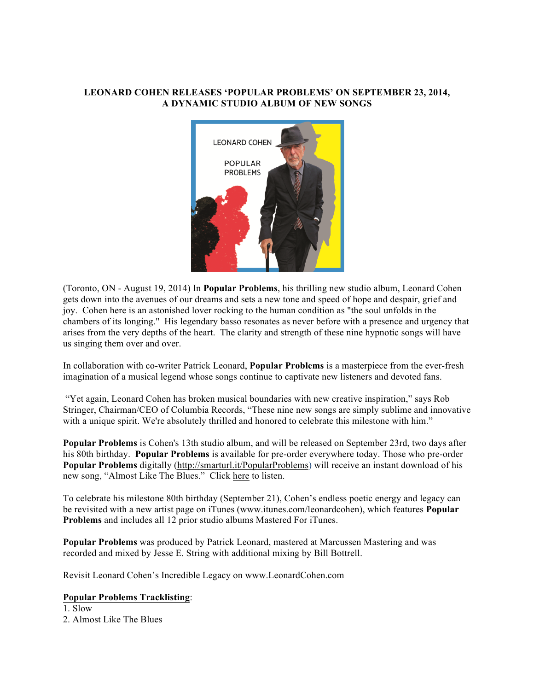## **LEONARD COHEN RELEASES 'POPULAR PROBLEMS' ON SEPTEMBER 23, 2014, A DYNAMIC STUDIO ALBUM OF NEW SONGS**



(Toronto, ON - August 19, 2014) In **Popular Problems**, his thrilling new studio album, Leonard Cohen gets down into the avenues of our dreams and sets a new tone and speed of hope and despair, grief and joy. Cohen here is an astonished lover rocking to the human condition as "the soul unfolds in the chambers of its longing." His legendary basso resonates as never before with a presence and urgency that arises from the very depths of the heart. The clarity and strength of these nine hypnotic songs will have us singing them over and over.

In collaboration with co-writer Patrick Leonard, **Popular Problems** is a masterpiece from the ever-fresh imagination of a musical legend whose songs continue to captivate new listeners and devoted fans.

"Yet again, Leonard Cohen has broken musical boundaries with new creative inspiration," says Rob Stringer, Chairman/CEO of Columbia Records, "These nine new songs are simply sublime and innovative with a unique spirit. We're absolutely thrilled and honored to celebrate this milestone with him."

**Popular Problems** is Cohen's 13th studio album, and will be released on September 23rd, two days after his 80th birthday. **Popular Problems** is available for pre-order everywhere today. Those who pre-order **Popular Problems** digitally (http://smarturl.it/PopularProblems) will receive an instant download of his new song, "Almost Like The Blues." Click here to listen.

To celebrate his milestone 80th birthday (September 21), Cohen's endless poetic energy and legacy can be revisited with a new artist page on iTunes (www.itunes.com/leonardcohen), which features **Popular Problems** and includes all 12 prior studio albums Mastered For iTunes.

**Popular Problems** was produced by Patrick Leonard, mastered at Marcussen Mastering and was recorded and mixed by Jesse E. String with additional mixing by Bill Bottrell.

Revisit Leonard Cohen's Incredible Legacy on www.LeonardCohen.com

## **Popular Problems Tracklisting**:

1. Slow 2. Almost Like The Blues